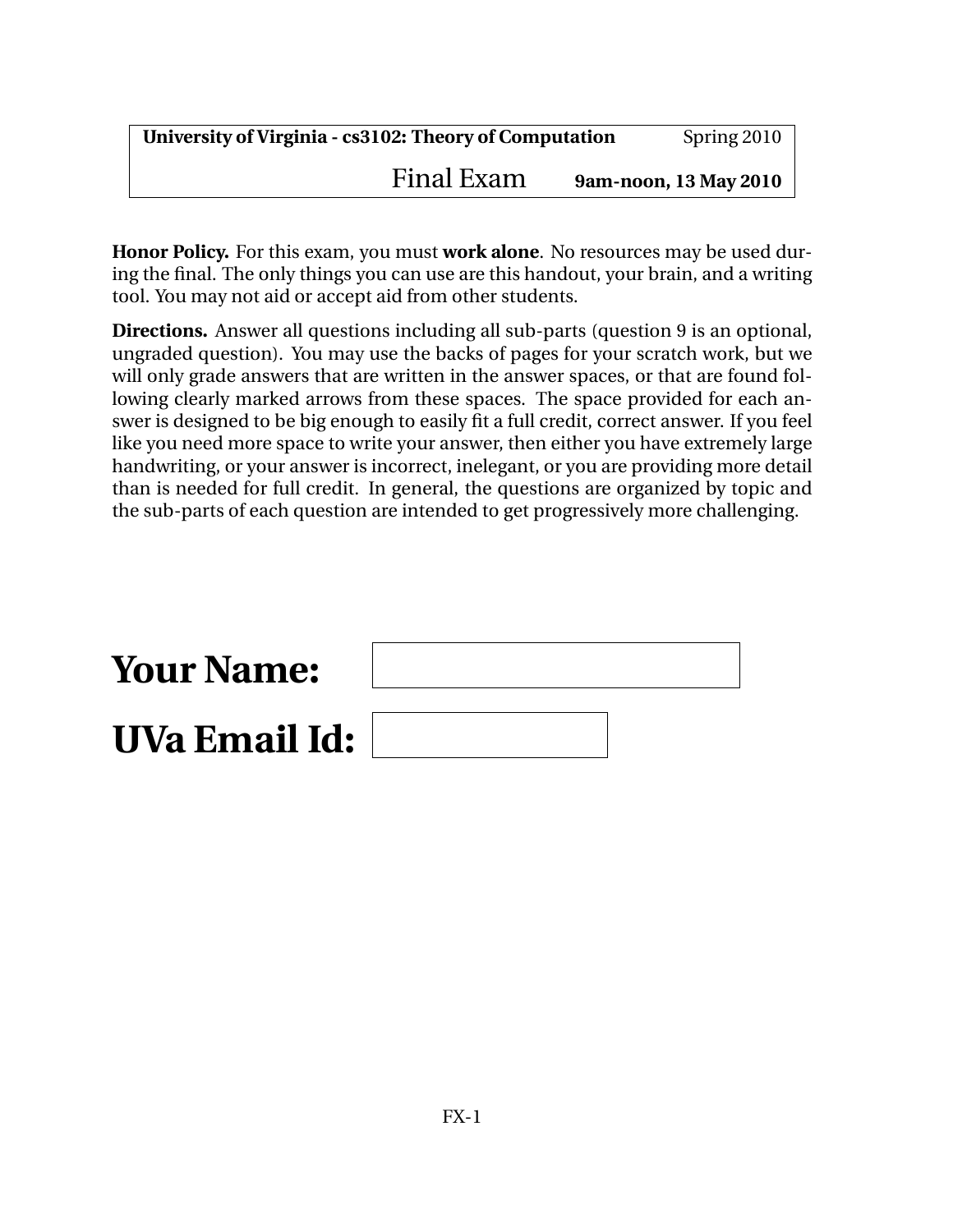**Honor Policy.** For this exam, you must **work alone**. No resources may be used during the final. The only things you can use are this handout, your brain, and a writing tool. You may not aid or accept aid from other students.

**Directions.** Answer all questions including all sub-parts (question 9 is an optional, ungraded question). You may use the backs of pages for your scratch work, but we will only grade answers that are written in the answer spaces, or that are found following clearly marked arrows from these spaces. The space provided for each answer is designed to be big enough to easily fit a full credit, correct answer. If you feel like you need more space to write your answer, then either you have extremely large handwriting, or your answer is incorrect, inelegant, or you are providing more detail than is needed for full credit. In general, the questions are organized by topic and the sub-parts of each question are intended to get progressively more challenging.

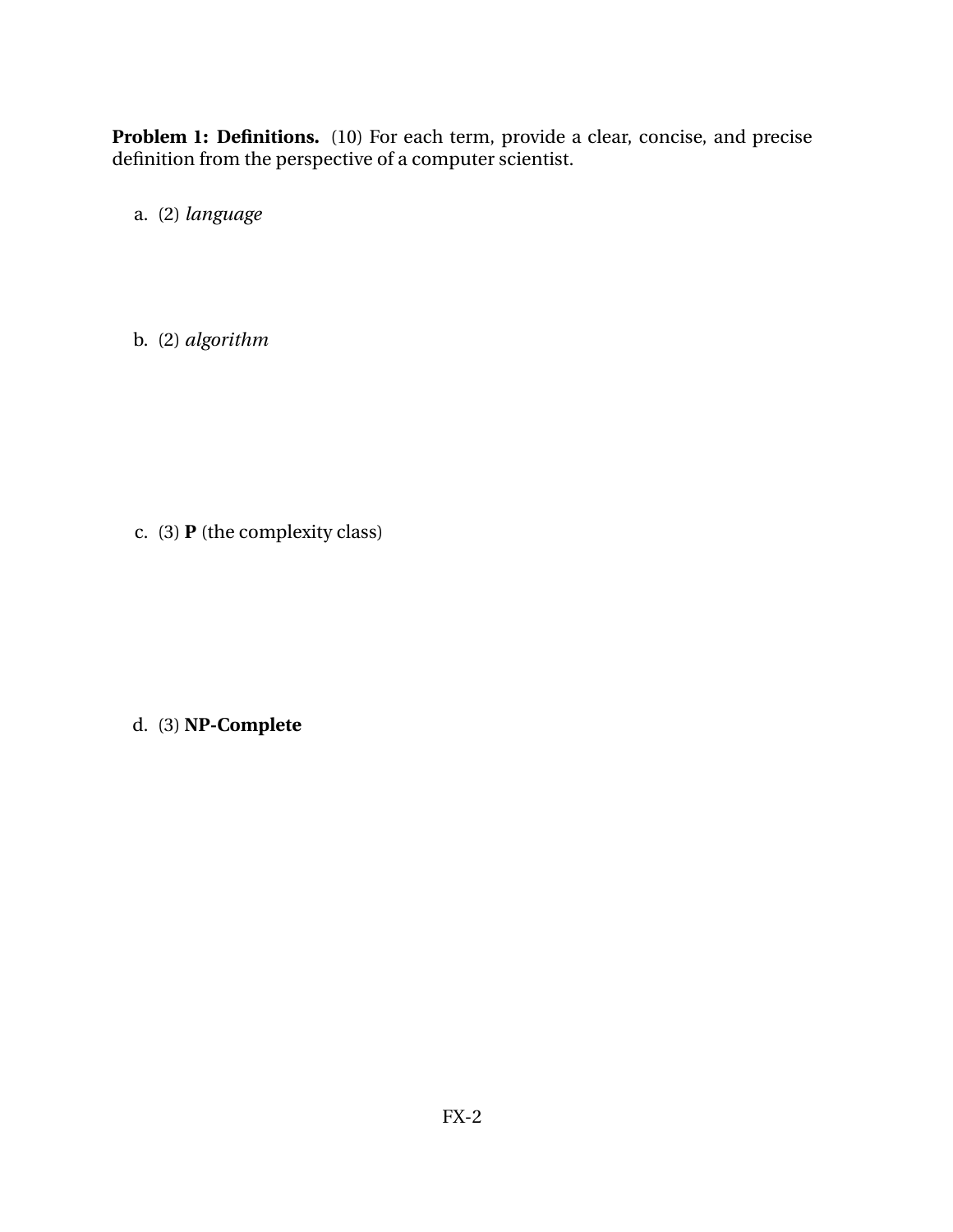**Problem 1: Definitions.** (10) For each term, provide a clear, concise, and precise definition from the perspective of a computer scientist.

a. (2) *language*

b. (2) *algorithm*

c. (3) **P** (the complexity class)

d. (3) **NP-Complete**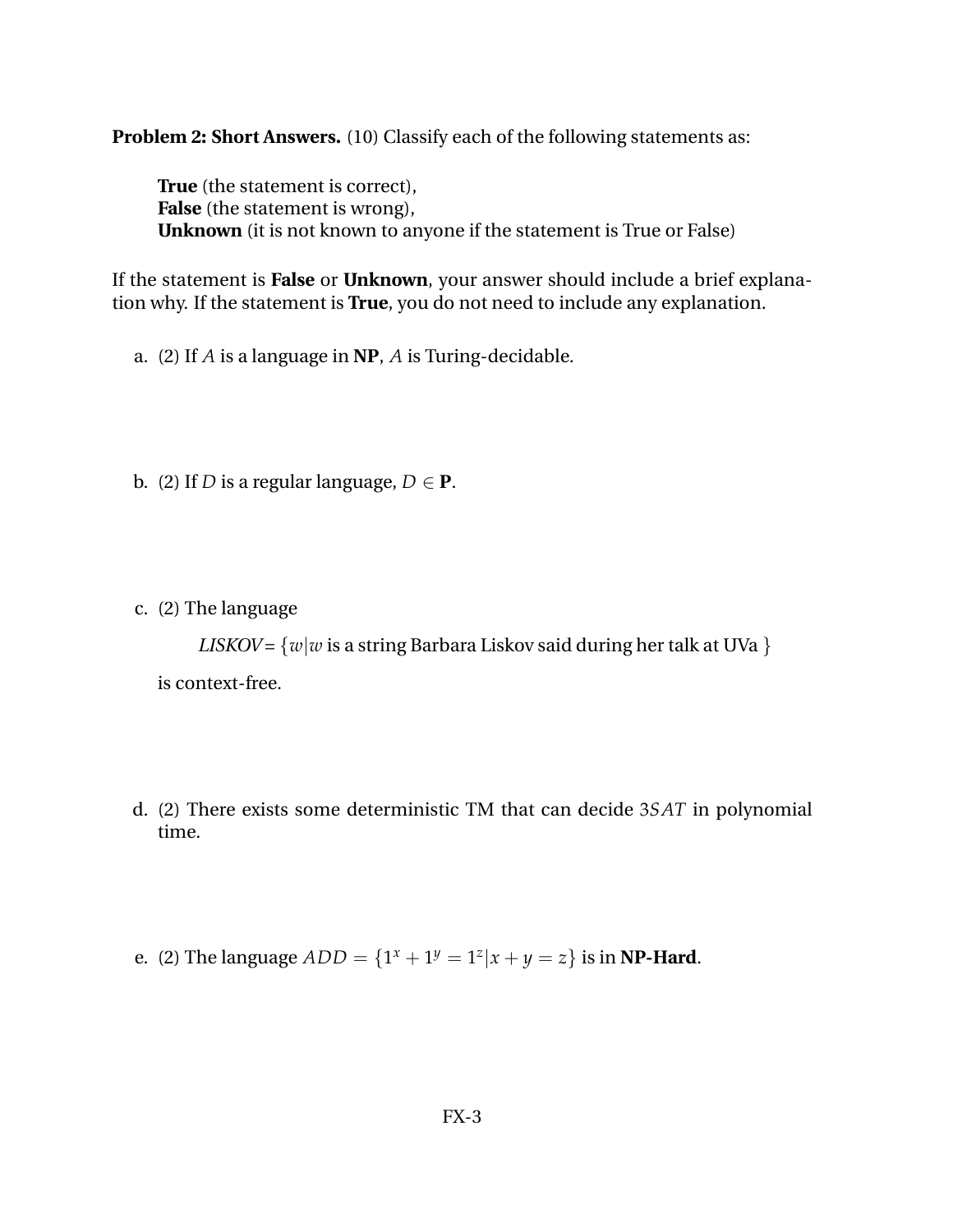**Problem 2: Short Answers.** (10) Classify each of the following statements as:

**True** (the statement is correct), **False** (the statement is wrong), **Unknown** (it is not known to anyone if the statement is True or False)

If the statement is **False** or **Unknown**, your answer should include a brief explanation why. If the statement is **True**, you do not need to include any explanation.

a. (2) If *A* is a language in **NP**, *A* is Turing-decidable.

b. (2) If *D* is a regular language,  $D \in \mathbf{P}$ .

c. (2) The language

*LISKOV* =  $\{w|w\}$  is a string Barbara Liskov said during her talk at UVa  $\}$ is context-free.

- d. (2) There exists some deterministic TM that can decide 3*SAT* in polynomial time.
- e. (2) The language  $ADD = \{1^x + 1^y = 1^z | x + y = z\}$  is in **NP-Hard**.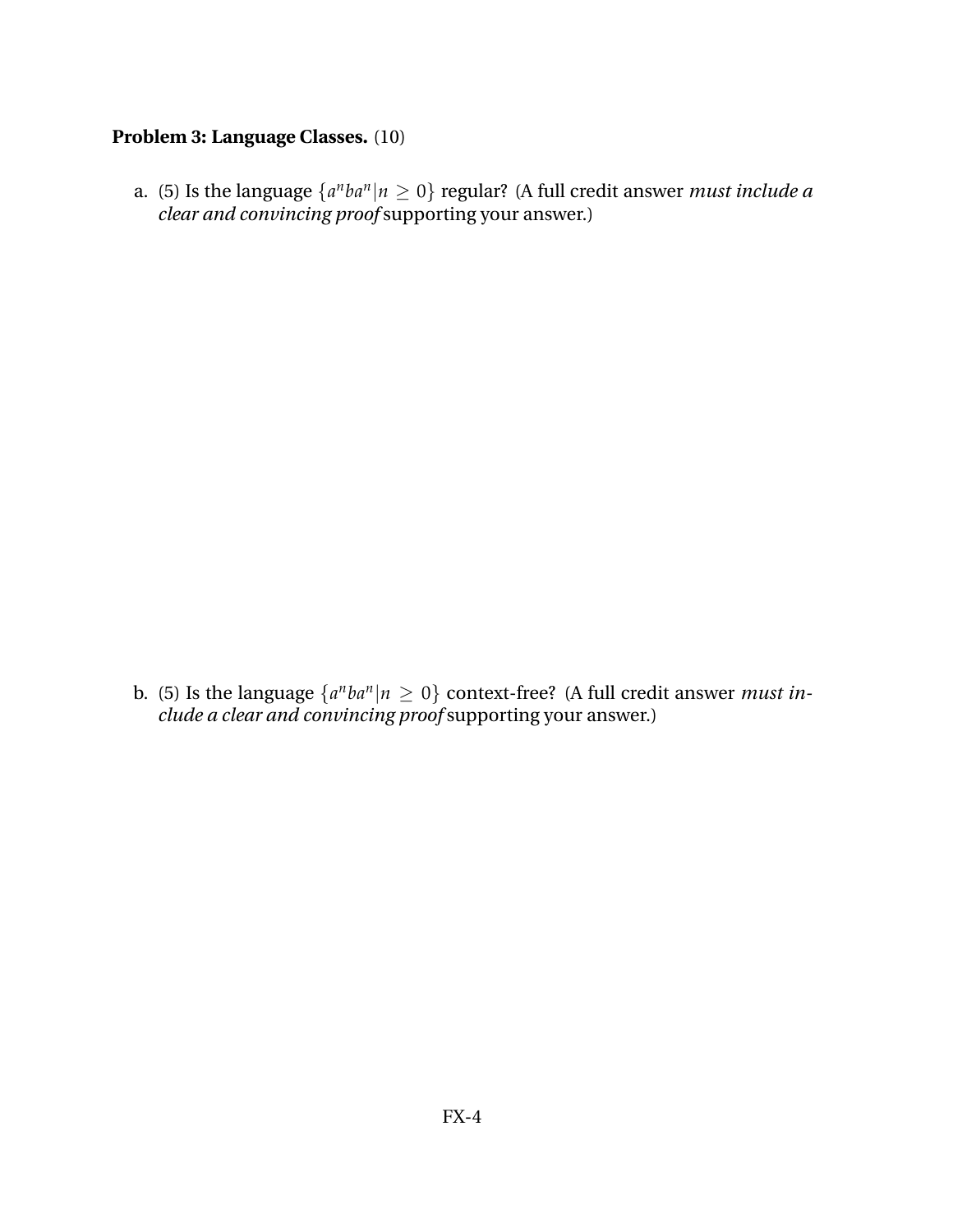### **Problem 3: Language Classes.** (10)

a. (5) Is the language  $\{a^nba^n|n\geq 0\}$  regular? (A full credit answer *must include a clear and convincing proof* supporting your answer.)

b. (5) Is the language  $\{a^nba^n|n\geq 0\}$  context-free? (A full credit answer *must include a clear and convincing proof* supporting your answer.)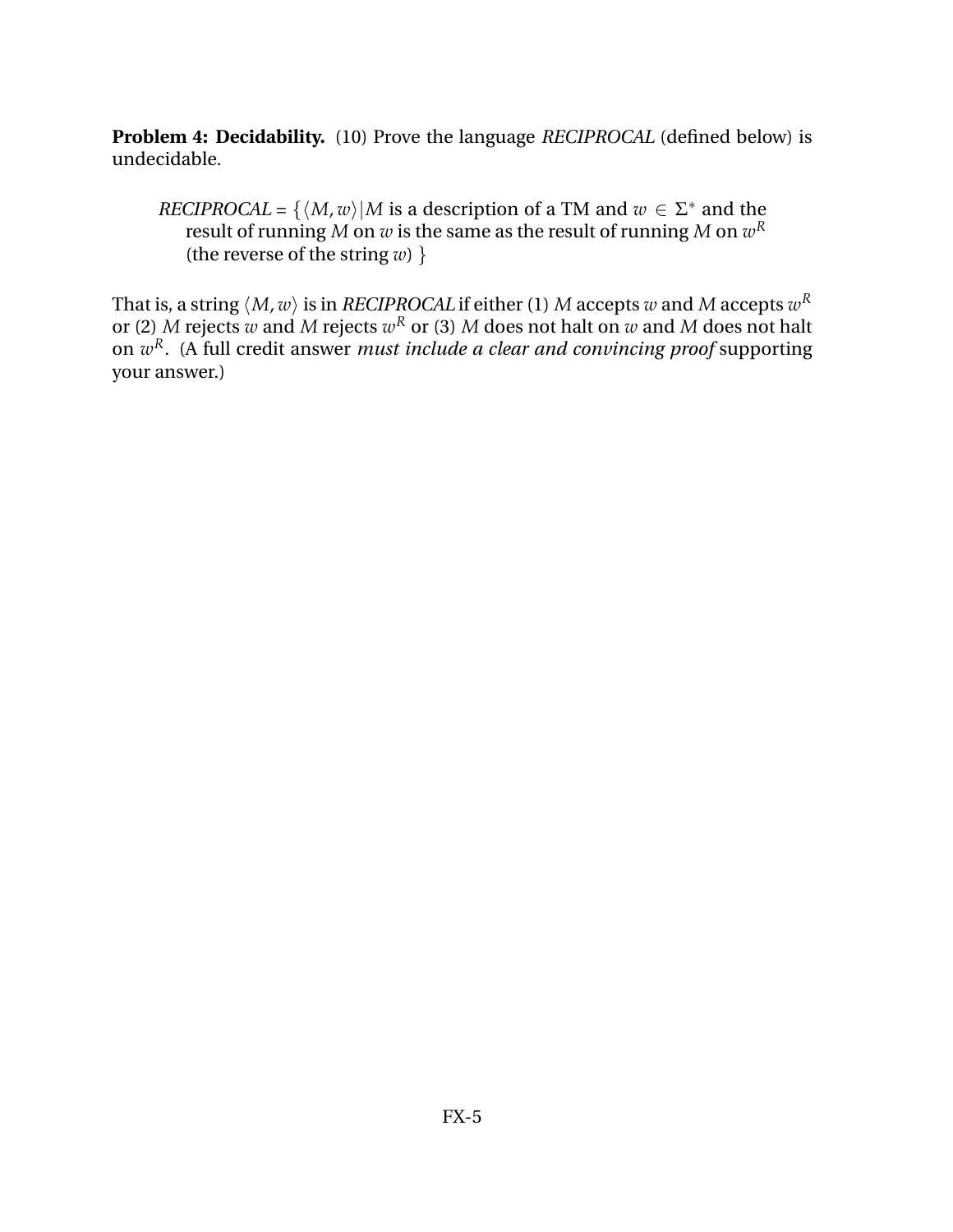**Problem 4: Decidability.** (10) Prove the language *RECIPROCAL* (defined below) is undecidable.

*RECIPROCAL* = { $\langle M, w \rangle$ |*M* is a description of a TM and  $w \in \Sigma^*$  and the result of running  $M$  on  $w$  is the same as the result of running  $M$  on  $w^R$ (the reverse of the string  $w$ ) }

That is, a string  $\langle M, w \rangle$  is in *RECIPROCAL* if either (1)  $M$  accepts  $w$  and  $M$  accepts  $w^R$ or (2)  $M$  rejects  $w$  and  $M$  rejects  $w^R$  or (3)  $M$  does not halt on  $w$  and  $M$  does not halt on *w <sup>R</sup>*. (A full credit answer *must include a clear and convincing proof* supporting your answer.)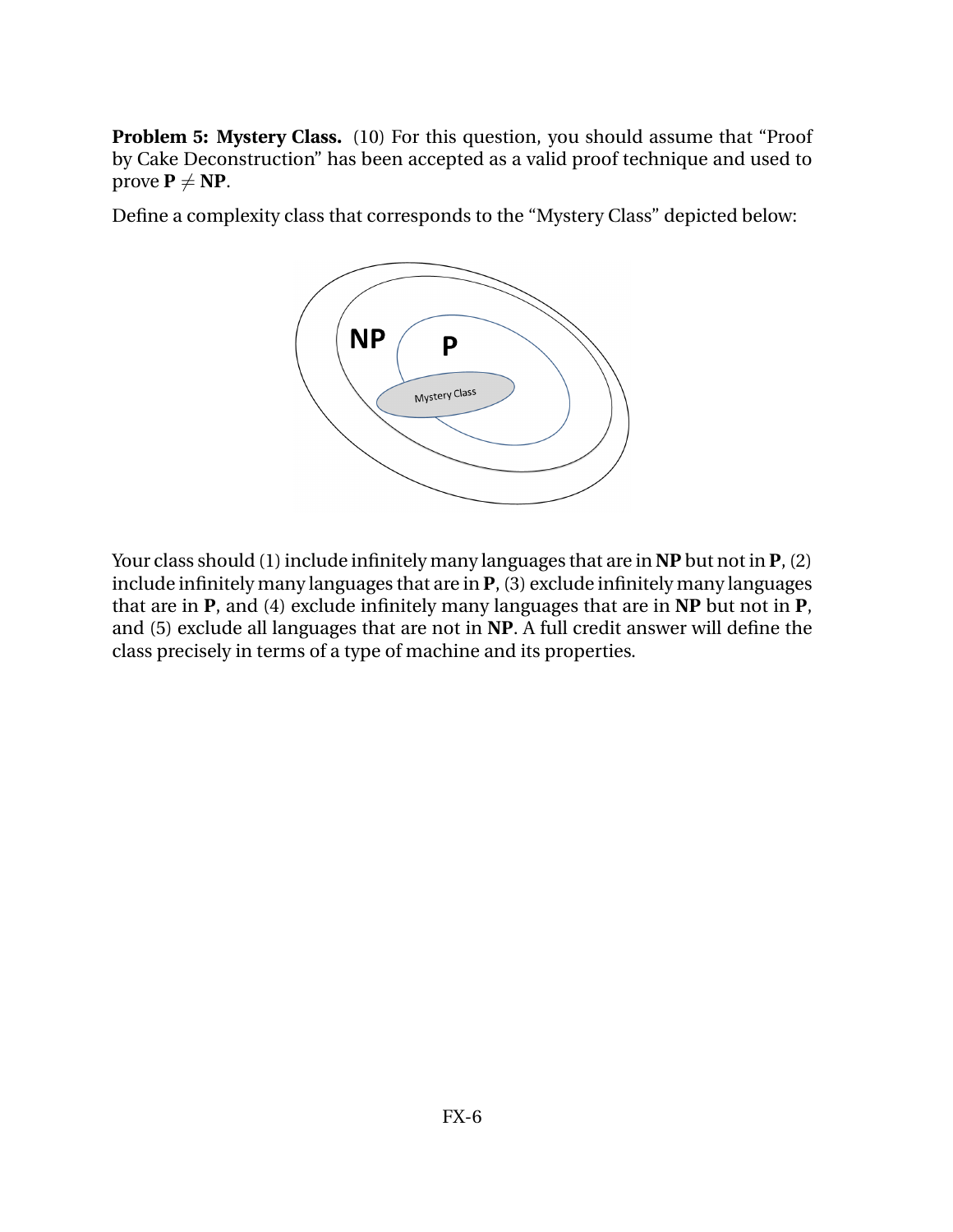**Problem 5: Mystery Class.** (10) For this question, you should assume that "Proof" by Cake Deconstruction" has been accepted as a valid proof technique and used to prove  $P \neq NP$ .

Define a complexity class that corresponds to the "Mystery Class" depicted below:



Your class should (1) include infinitely many languages that are in **NP** but not in **P**, (2) include infinitely many languages that are in **P**, (3) exclude infinitely many languages that are in **P**, and (4) exclude infinitely many languages that are in **NP** but not in **P**, and (5) exclude all languages that are not in **NP**. A full credit answer will define the class precisely in terms of a type of machine and its properties.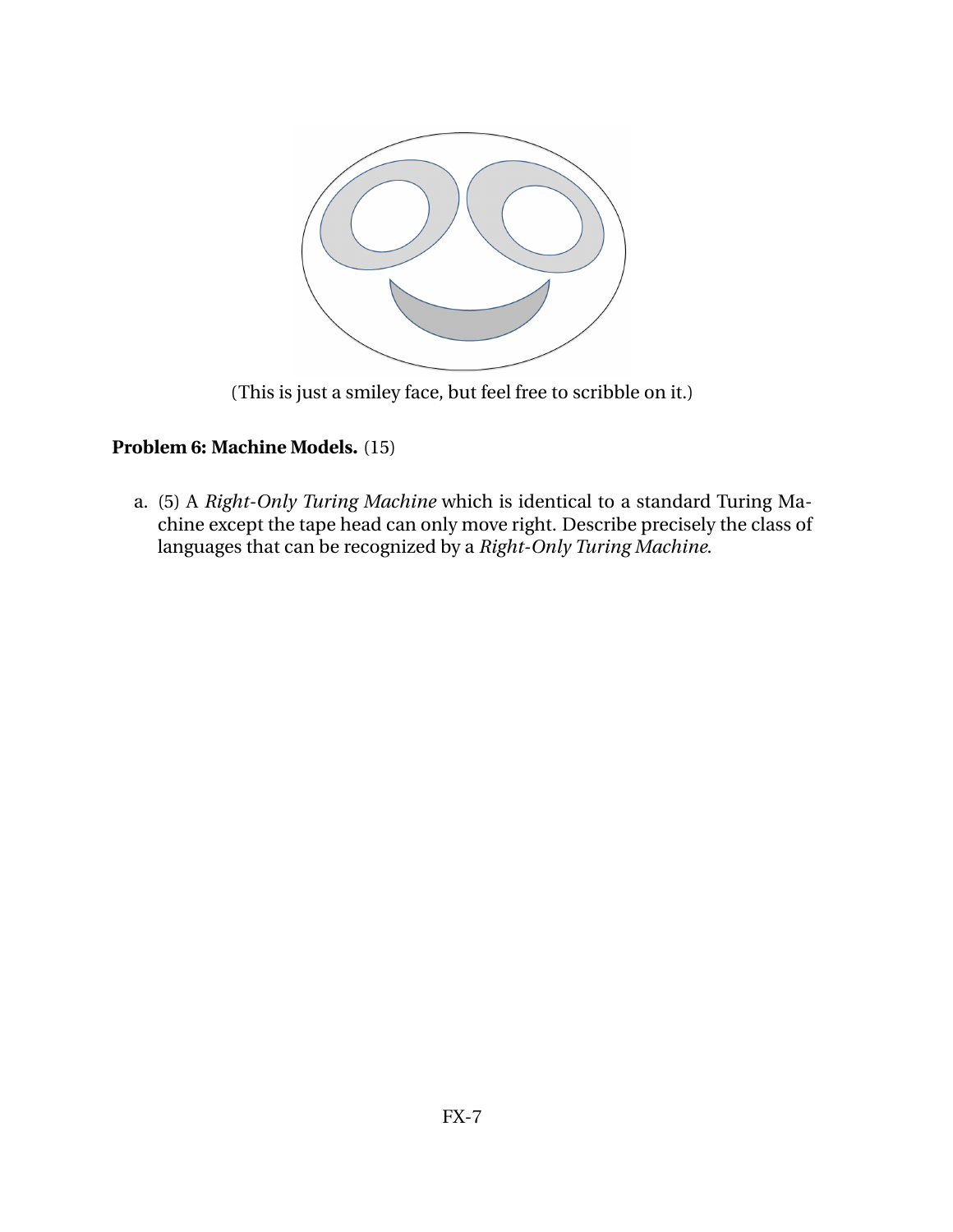

(This is just a smiley face, but feel free to scribble on it.)

# **Problem 6: Machine Models.** (15)

a. (5) A *Right-Only Turing Machine* which is identical to a standard Turing Machine except the tape head can only move right. Describe precisely the class of languages that can be recognized by a *Right-Only Turing Machine*.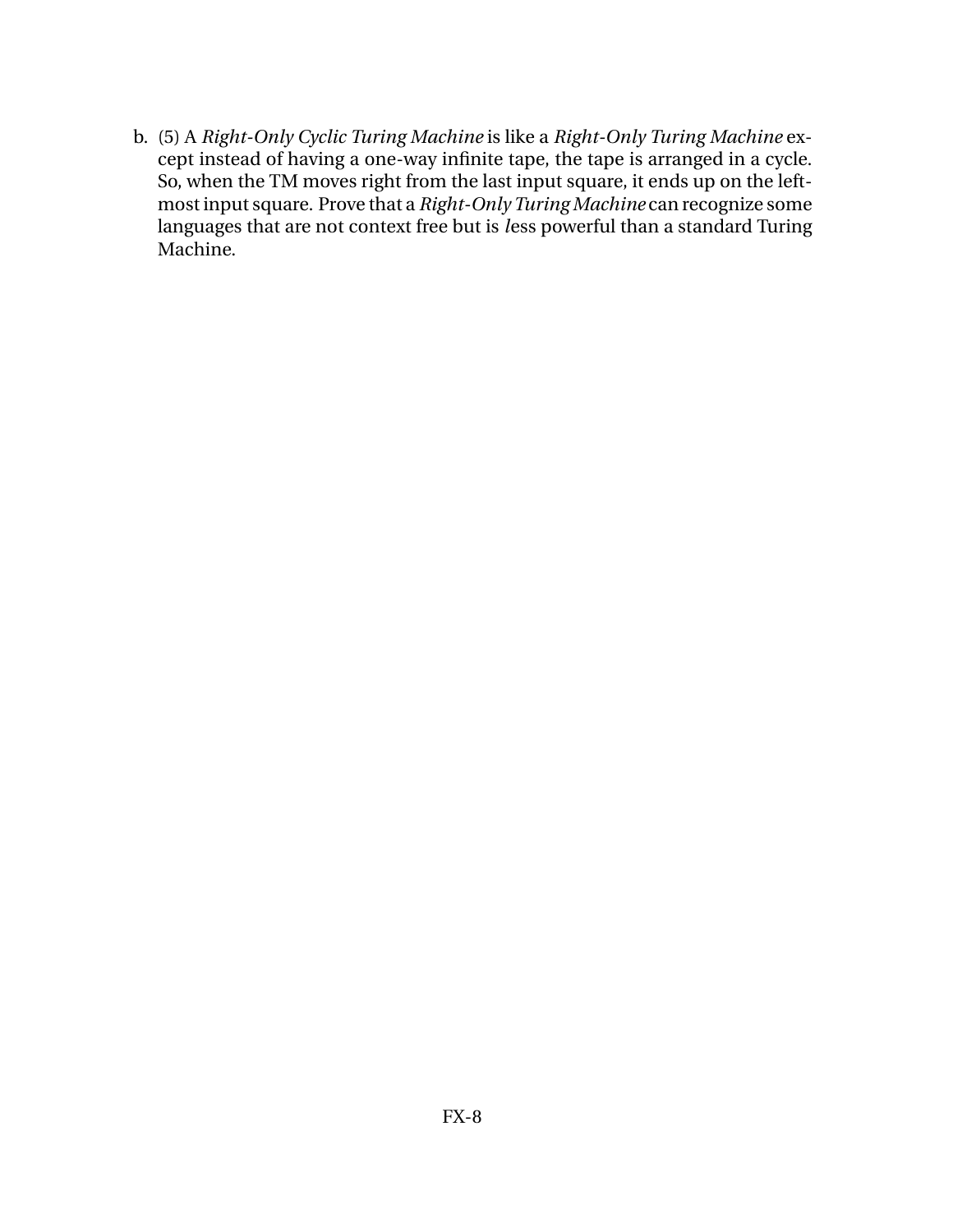b. (5) A *Right-Only Cyclic Turing Machine* is like a *Right-Only Turing Machine* except instead of having a one-way infinite tape, the tape is arranged in a cycle. So, when the TM moves right from the last input square, it ends up on the leftmost input square. Prove that a *Right-Only Turing Machine* can recognize some languages that are not context free but is *l*ess powerful than a standard Turing Machine.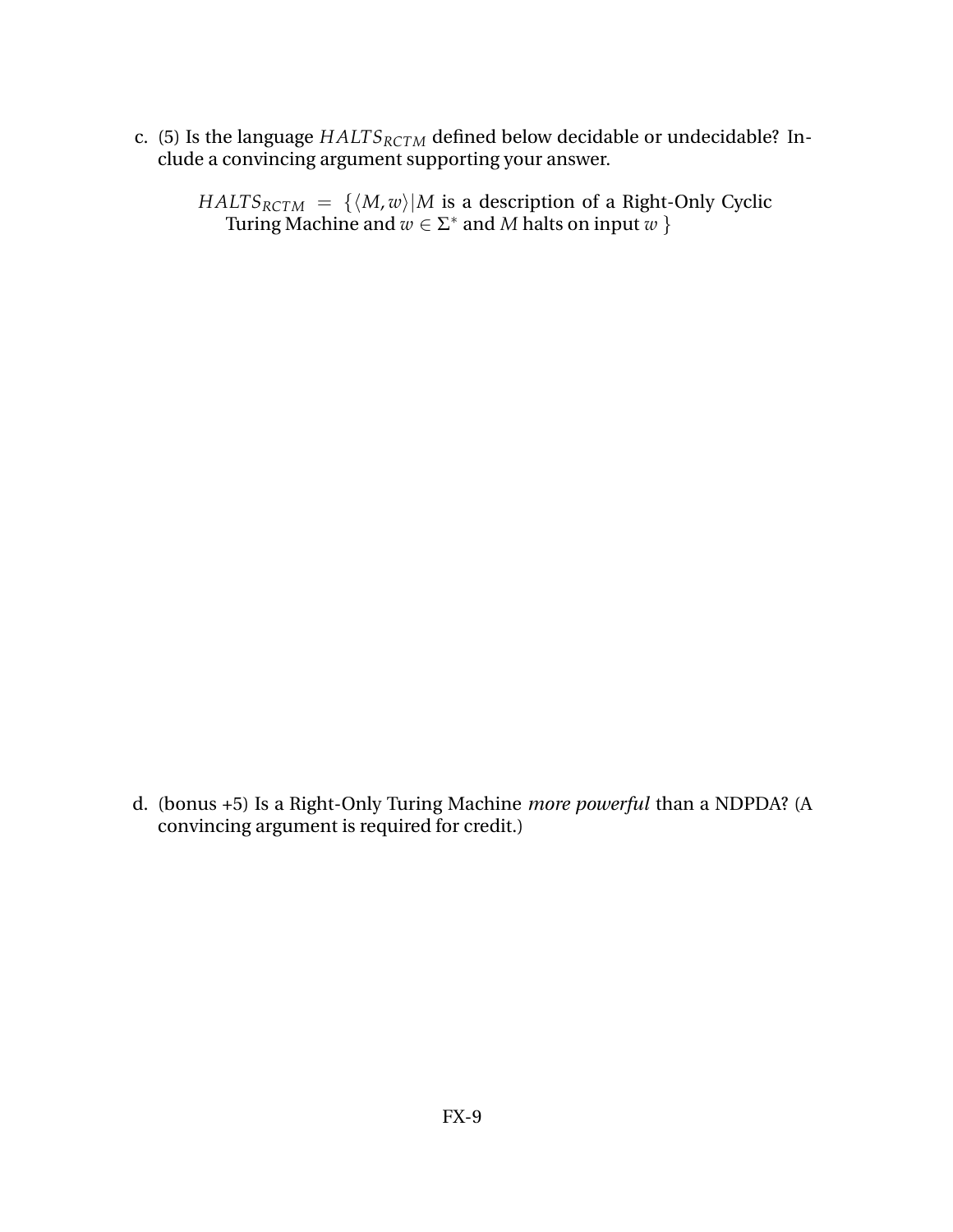- c. (5) Is the language *HALTSRCTM* defined below decidable or undecidable? Include a convincing argument supporting your answer.
	- *HALTS*<sub>*RCTM*</sub> = { $\langle M, w \rangle$ |*M* is a description of a Right-Only Cyclic Turing Machine and  $w \in \Sigma^*$  and  $M$  halts on input  $w$  }

d. (bonus +5) Is a Right-Only Turing Machine *more powerful* than a NDPDA? (A convincing argument is required for credit.)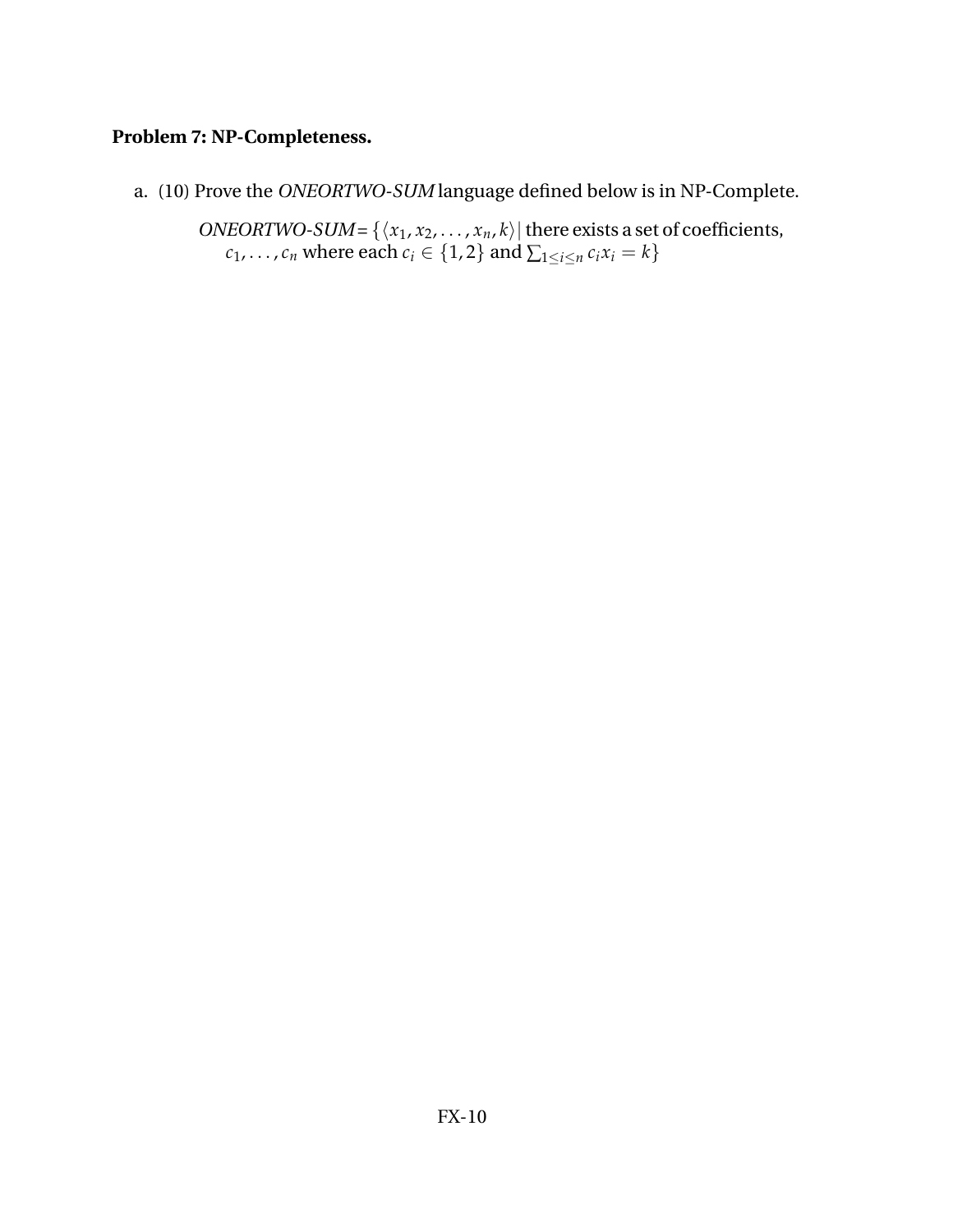# **Problem 7: NP-Completeness.**

a. (10) Prove the *ONEORTWO-SUM* language defined below is in NP-Complete.

*ONEORTWO-SUM* = { $\langle x_1, x_2, \ldots, x_n, k \rangle$ } there exists a set of coefficients,  $c_1, \ldots, c_n$  where each  $c_i \in \{1, 2\}$  and  $\sum_{1 \le i \le n} c_i x_i = k\}$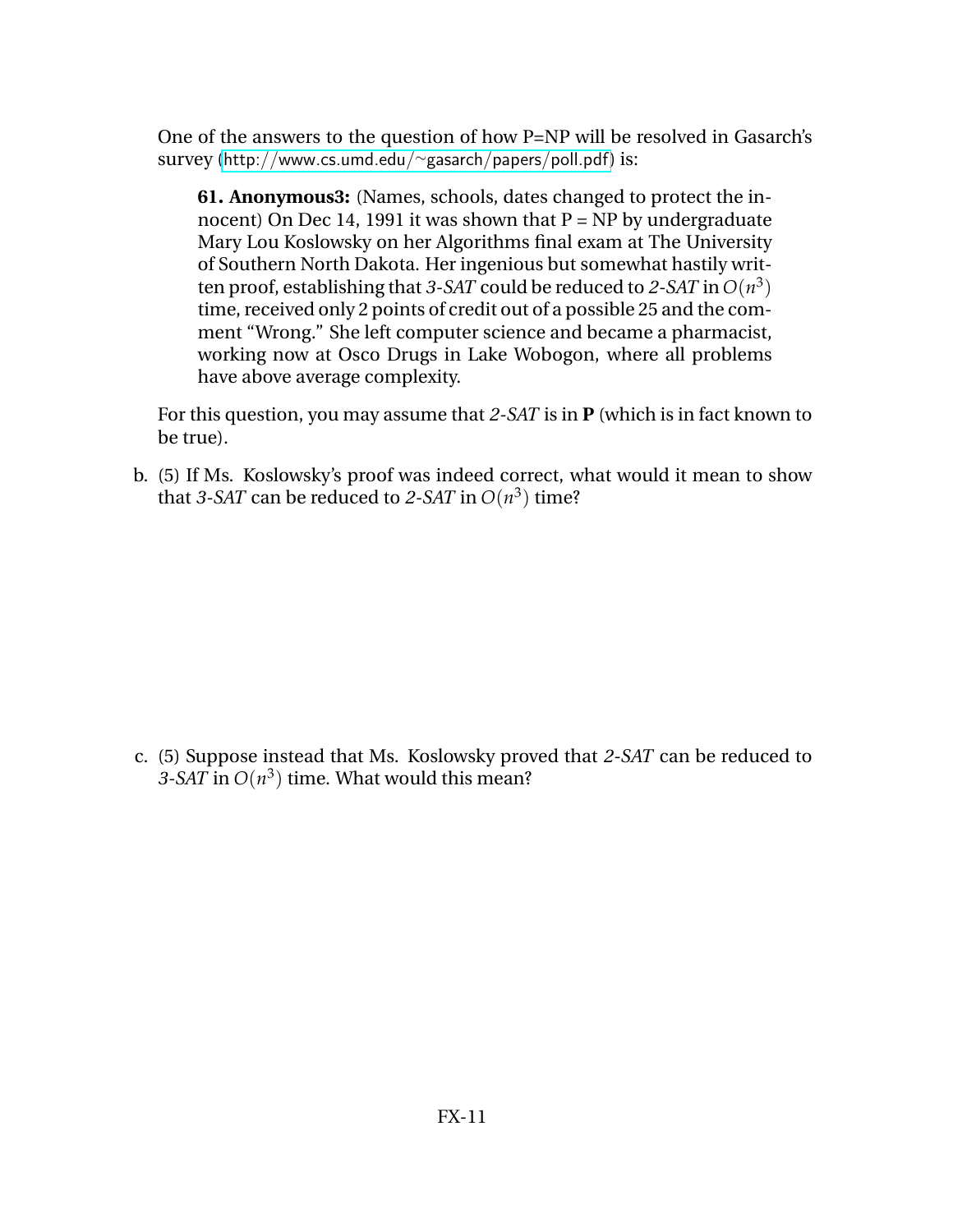One of the answers to the question of how P=NP will be resolved in Gasarch's survey ([http://www.cs.umd.edu/](http://www.cs.umd.edu/~gasarch/papers/poll.pdf)∼gasarch/papers/poll.pdf) is:

**61. Anonymous3:** (Names, schools, dates changed to protect the innocent) On Dec 14, 1991 it was shown that  $P = NP$  by undergraduate Mary Lou Koslowsky on her Algorithms final exam at The University of Southern North Dakota. Her ingenious but somewhat hastily written proof, establishing that *3-SAT* could be reduced to *2-SAT* in  $O(n^3)$ time, received only 2 points of credit out of a possible 25 and the comment "Wrong." She left computer science and became a pharmacist, working now at Osco Drugs in Lake Wobogon, where all problems have above average complexity.

For this question, you may assume that *2-SAT* is in **P** (which is in fact known to be true).

b. (5) If Ms. Koslowsky's proof was indeed correct, what would it mean to show that *3-SAT* can be reduced to *2-SAT* in  $O(n^3)$  time?

c. (5) Suppose instead that Ms. Koslowsky proved that *2-SAT* can be reduced to *3-SAT* in  $O(n^3)$  time. What would this mean?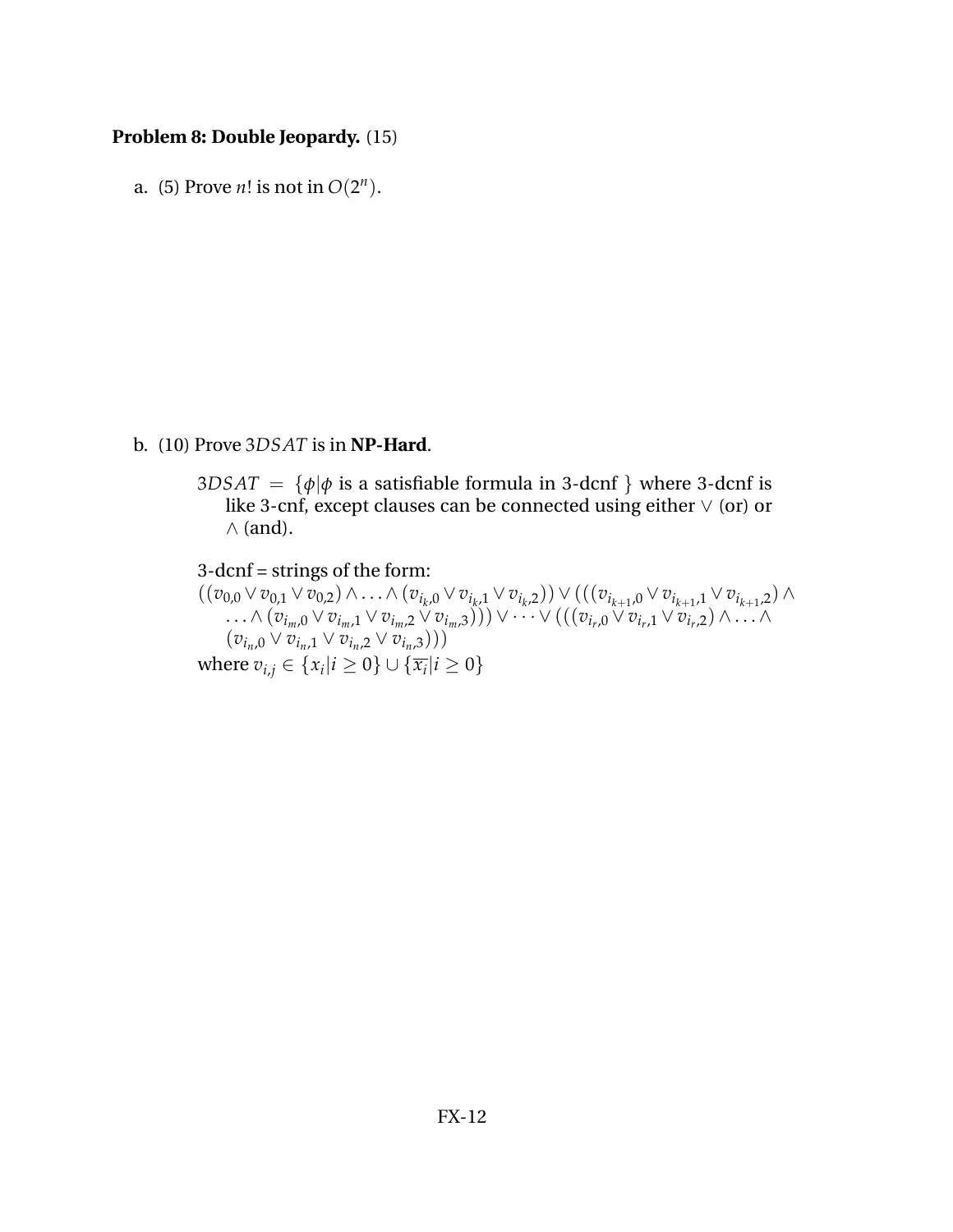### **Problem 8: Double Jeopardy.** (15)

a. (5) Prove *n*! is not in  $O(2^n)$ .

#### b. (10) Prove 3*DSAT* is in **NP-Hard**.

- $3DSAT = {\phi|\phi \text{ is a satisfiable formula in 3-dcnf } } where 3\text{-dcnf is}$ like 3-cnf, except clauses can be connected using either ∨ (or) or  $\wedge$  (and).
- 3-dcnf = strings of the form:  $((v_{0,0}\vee v_{0,1}\vee v_{0,2})\wedge\ldots\wedge(v_{i_k,0}\vee v_{i_k,1}\vee v_{i_k,2}))\vee ((v_{i_{k+1},0}\vee v_{i_{k+1},1}\vee v_{i_{k+1},2})\wedge$  $\ldots \wedge (v_{i_m,0} \vee v_{i_m,1} \vee v_{i_m,2} \vee v_{i_m,3}))) \vee \cdots \vee (((v_{i_r,0} \vee v_{i_r,1} \vee v_{i_r,2}) \wedge \ldots \wedge v_{i_r,3}))$  $(v_{i_n,0} \vee v_{i_n,1} \vee v_{i_n,2} \vee v_{i_n,3}))$ where  $v_{i,j} \in \{x_i | i \geq 0\} \cup \{\overline{x_i} | i \geq 0\}$